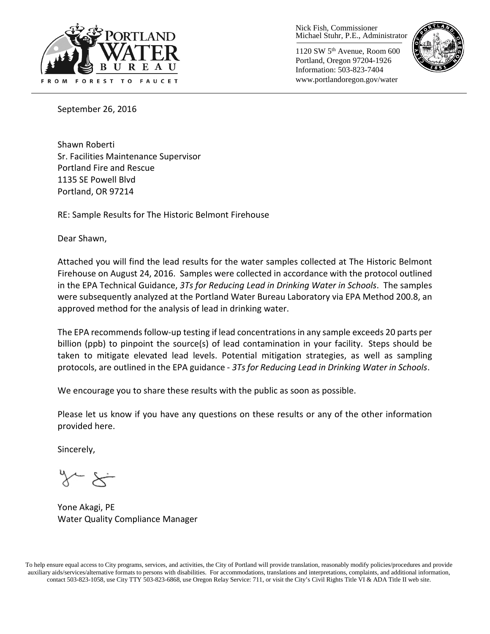

Nick Fish, Commissioner Michael Stuhr, P.E., Administrator

1120 SW 5th Avenue, Room 600 Portland, Oregon 97204-1926 Information: 503-823-7404 www.portlandoregon.gov/water



September 26, 2016

Shawn Roberti Sr. Facilities Maintenance Supervisor Portland Fire and Rescue 1135 SE Powell Blvd Portland, OR 97214

RE: Sample Results for The Historic Belmont Firehouse

Dear Shawn,

Attached you will find the lead results for the water samples collected at The Historic Belmont Firehouse on August 24, 2016. Samples were collected in accordance with the protocol outlined in the EPA Technical Guidance, *3Ts for Reducing Lead in Drinking Water in Schools*. The samples were subsequently analyzed at the Portland Water Bureau Laboratory via EPA Method 200.8, an approved method for the analysis of lead in drinking water.

The EPA recommends follow-up testing if lead concentrations in any sample exceeds 20 parts per billion (ppb) to pinpoint the source(s) of lead contamination in your facility. Steps should be taken to mitigate elevated lead levels. Potential mitigation strategies, as well as sampling protocols, are outlined in the EPA guidance - *3Ts for Reducing Lead in Drinking Water in Schools*.

We encourage you to share these results with the public as soon as possible.

Please let us know if you have any questions on these results or any of the other information provided here.

Sincerely,

Yone Akagi, PE Water Quality Compliance Manager

To help ensure equal access to City programs, services, and activities, the City of Portland will provide translation, reasonably modify policies/procedures and provide auxiliary aids/services/alternative formats to persons with disabilities. For accommodations, translations and interpretations, complaints, and additional information, contact 503-823-1058, use City TTY 503-823-6868, use Oregon Relay Service: 711, or visi[t the City's Civil Rights Title VI & ADA Title II web site.](http://www.portlandoregon.gov/oehr/66458)